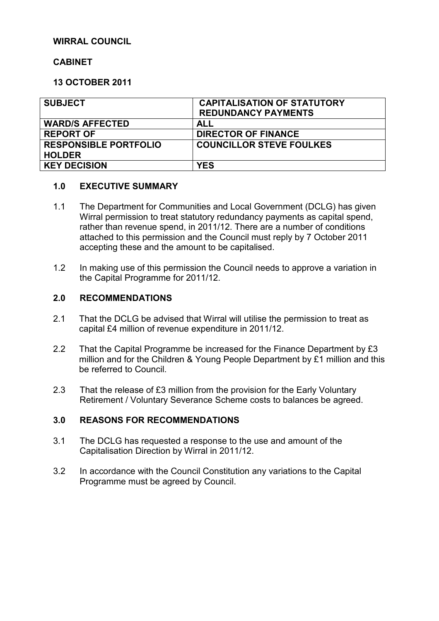### **WIRRAL COUNCIL**

## **CABINET**

## **13 OCTOBER 2011**

| <b>SUBJECT</b>               | <b>CAPITALISATION OF STATUTORY</b> |
|------------------------------|------------------------------------|
|                              | <b>REDUNDANCY PAYMENTS</b>         |
| <b>WARD/S AFFECTED</b>       | ALL                                |
| <b>REPORT OF</b>             | <b>DIRECTOR OF FINANCE</b>         |
| <b>RESPONSIBLE PORTFOLIO</b> | <b>COUNCILLOR STEVE FOULKES</b>    |
| <b>HOLDER</b>                |                                    |
| <b>KEY DECISION</b>          | <b>YES</b>                         |

### **1.0 EXECUTIVE SUMMARY**

- 1.1 The Department for Communities and Local Government (DCLG) has given Wirral permission to treat statutory redundancy payments as capital spend, rather than revenue spend, in 2011/12. There are a number of conditions attached to this permission and the Council must reply by 7 October 2011 accepting these and the amount to be capitalised.
- 1.2 In making use of this permission the Council needs to approve a variation in the Capital Programme for 2011/12.

### **2.0 RECOMMENDATIONS**

- 2.1 That the DCLG be advised that Wirral will utilise the permission to treat as capital £4 million of revenue expenditure in 2011/12.
- 2.2 That the Capital Programme be increased for the Finance Department by £3 million and for the Children & Young People Department by £1 million and this be referred to Council.
- 2.3 That the release of £3 million from the provision for the Early Voluntary Retirement / Voluntary Severance Scheme costs to balances be agreed.

### **3.0 REASONS FOR RECOMMENDATIONS**

- 3.1 The DCLG has requested a response to the use and amount of the Capitalisation Direction by Wirral in 2011/12.
- 3.2 In accordance with the Council Constitution any variations to the Capital Programme must be agreed by Council.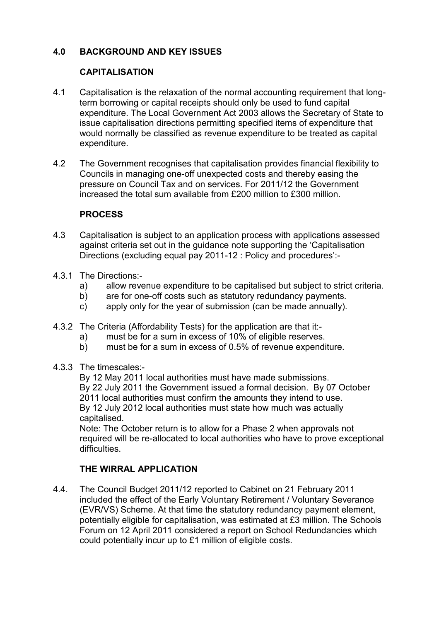# **4.0 BACKGROUND AND KEY ISSUES**

## **CAPITALISATION**

- 4.1 Capitalisation is the relaxation of the normal accounting requirement that longterm borrowing or capital receipts should only be used to fund capital expenditure. The Local Government Act 2003 allows the Secretary of State to issue capitalisation directions permitting specified items of expenditure that would normally be classified as revenue expenditure to be treated as capital expenditure.
- 4.2 The Government recognises that capitalisation provides financial flexibility to Councils in managing one-off unexpected costs and thereby easing the pressure on Council Tax and on services. For 2011/12 the Government increased the total sum available from £200 million to £300 million.

## **PROCESS**

- 4.3 Capitalisation is subject to an application process with applications assessed against criteria set out in the guidance note supporting the 'Capitalisation Directions (excluding equal pay 2011-12 : Policy and procedures':-
- 4.3.1 The Directions:
	- a) allow revenue expenditure to be capitalised but subject to strict criteria.
	- b) are for one-off costs such as statutory redundancy payments.
	- c) apply only for the year of submission (can be made annually).
- 4.3.2 The Criteria (Affordability Tests) for the application are that it:
	- a) must be for a sum in excess of 10% of eligible reserves.
	- b) must be for a sum in excess of 0.5% of revenue expenditure.
- 4.3.3 The timescales:-

By 12 May 2011 local authorities must have made submissions. By 22 July 2011 the Government issued a formal decision. By 07 October 2011 local authorities must confirm the amounts they intend to use. By 12 July 2012 local authorities must state how much was actually capitalised.

Note: The October return is to allow for a Phase 2 when approvals not required will be re-allocated to local authorities who have to prove exceptional difficulties.

# **THE WIRRAL APPLICATION**

4.4. The Council Budget 2011/12 reported to Cabinet on 21 February 2011 included the effect of the Early Voluntary Retirement / Voluntary Severance (EVR/VS) Scheme. At that time the statutory redundancy payment element, potentially eligible for capitalisation, was estimated at £3 million. The Schools Forum on 12 April 2011 considered a report on School Redundancies which could potentially incur up to £1 million of eligible costs.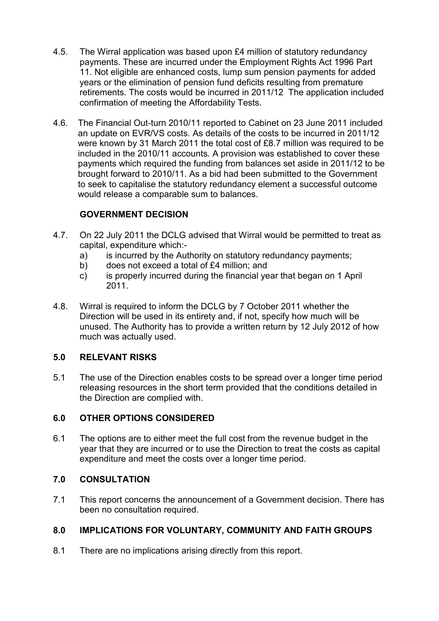- 4.5. The Wirral application was based upon £4 million of statutory redundancy payments. These are incurred under the Employment Rights Act 1996 Part 11. Not eligible are enhanced costs, lump sum pension payments for added years or the elimination of pension fund deficits resulting from premature retirements. The costs would be incurred in 2011/12 The application included confirmation of meeting the Affordability Tests.
- 4.6. The Financial Out-turn 2010/11 reported to Cabinet on 23 June 2011 included an update on EVR/VS costs. As details of the costs to be incurred in 2011/12 were known by 31 March 2011 the total cost of £8.7 million was required to be included in the 2010/11 accounts. A provision was established to cover these payments which required the funding from balances set aside in 2011/12 to be brought forward to 2010/11. As a bid had been submitted to the Government to seek to capitalise the statutory redundancy element a successful outcome would release a comparable sum to balances.

# **GOVERNMENT DECISION**

- 4.7. On 22 July 2011 the DCLG advised that Wirral would be permitted to treat as capital, expenditure which:
	- a) is incurred by the Authority on statutory redundancy payments;
	- b) does not exceed a total of £4 million; and
	- c) is properly incurred during the financial year that began on 1 April 2011.
- 4.8. Wirral is required to inform the DCLG by 7 October 2011 whether the Direction will be used in its entirety and, if not, specify how much will be unused. The Authority has to provide a written return by 12 July 2012 of how much was actually used.

# **5.0 RELEVANT RISKS**

5.1 The use of the Direction enables costs to be spread over a longer time period releasing resources in the short term provided that the conditions detailed in the Direction are complied with.

# **6.0 OTHER OPTIONS CONSIDERED**

6.1 The options are to either meet the full cost from the revenue budget in the year that they are incurred or to use the Direction to treat the costs as capital expenditure and meet the costs over a longer time period.

### **7.0 CONSULTATION**

7.1 This report concerns the announcement of a Government decision. There has been no consultation required.

# **8.0 IMPLICATIONS FOR VOLUNTARY, COMMUNITY AND FAITH GROUPS**

8.1 There are no implications arising directly from this report.